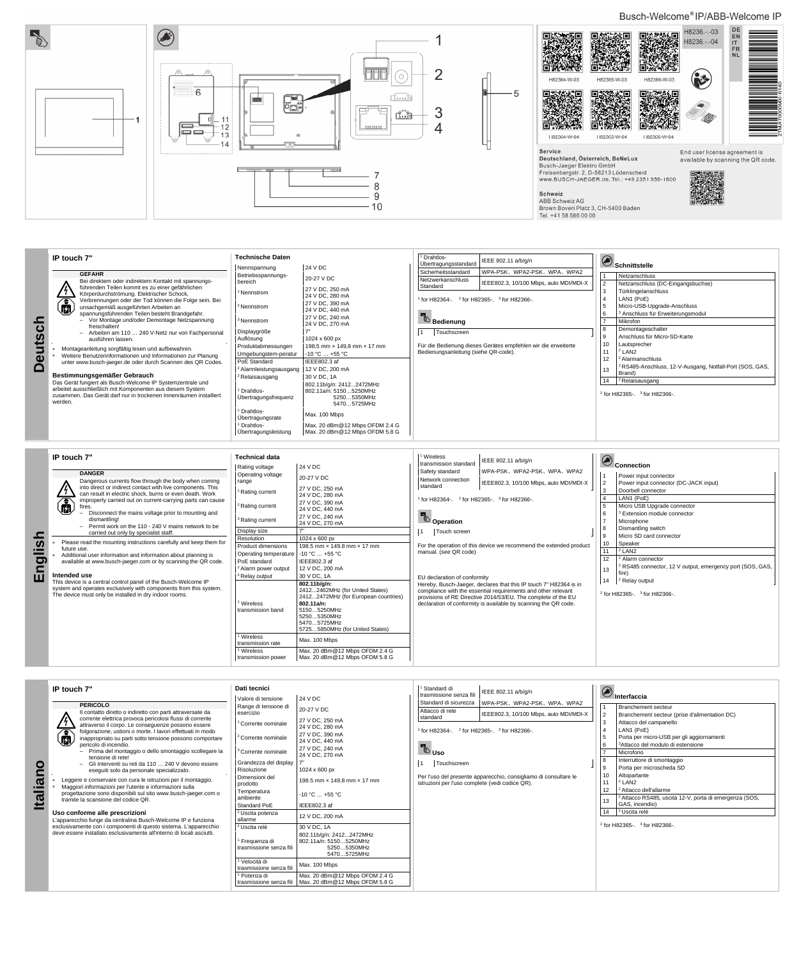## Busch-Welcome®IP/ABB-Welcome IP



|                                                                              | IP touch 7"                                                                                                                                                                                                                                                                                                                                                                                                                                                                                                                                                                                    | <b>Technische Daten</b>                                                                                                                                                                     |                                                                                                                                                                                                                         | <sup>1</sup> Drahtlos-<br>Ubertragungsstandard                                                                                                                                                                                                                                                                               | IEEE 802.11 a/b/g/n |          | Schnittstelle                                                                                                                                                                                                                                                             |
|------------------------------------------------------------------------------|------------------------------------------------------------------------------------------------------------------------------------------------------------------------------------------------------------------------------------------------------------------------------------------------------------------------------------------------------------------------------------------------------------------------------------------------------------------------------------------------------------------------------------------------------------------------------------------------|---------------------------------------------------------------------------------------------------------------------------------------------------------------------------------------------|-------------------------------------------------------------------------------------------------------------------------------------------------------------------------------------------------------------------------|------------------------------------------------------------------------------------------------------------------------------------------------------------------------------------------------------------------------------------------------------------------------------------------------------------------------------|---------------------|----------|---------------------------------------------------------------------------------------------------------------------------------------------------------------------------------------------------------------------------------------------------------------------------|
| 으<br>$\mathbf C$<br>UtS<br>$\boldsymbol{\omega}$<br>$\overline{\phantom{a}}$ | <b>GEFAHR</b><br>Bei direktem oder indirektem Kontakt mit spannungs-<br>führenden Teilen kommt es zu einer gefährlichen<br>Körperdurchströmung. Elektrischer Schock,<br>Verbrennungen oder der Tod können die Folge sein. Bei<br>unsachgemäß ausgeführten Arbeiten an<br>咽<br>spannungsführenden Teilen besteht Brandgefahr.<br>- Vor Montage und/oder Demontage Netzspannung<br>freischalten!<br>- Arbeiten am 110  240 V-Netz nur von Fachpersonal<br>ausführen lassen.<br>Montageanleitung sorgfältig lesen und aufbewahren.<br>Weitere Benutzerinformationen und Informationen zur Planung | Nennspannung<br>Betriebsspannungs-<br>bereich<br>Nennstrom<br><sup>2</sup> Nennstrom<br><sup>3</sup> Nennstrom<br>Displaygröße<br>Auflösung<br>Produktabmessungen<br>Umgebungstem-peratur   | 24 V DC<br>20-27 V DC<br>27 V DC, 250 mA<br>24 V DC, 280 mA<br>27 V DC, 390 mA<br>24 V DC, 440 mA<br>27 V DC, 240 mA<br>24 V DC, 270 mA<br>1024 x 600 px<br>198,5 mm x 149,8 mm x 17 mm<br>-10 °C  +55 °C               | Sicherheitsstandard<br>WPA-PSK、WPA2-PSK、WPA、WPA2<br>Netzwerkanschluss<br>IEEE802.3, 10/100 Mbps, auto MDI/MDI-X<br>Standard<br>$2$ for H82365-. $3$ for H82366-.<br>for H82364-.<br><b>Bedienung</b><br>Touchscreen<br>Für die Bedienung dieses Gerätes empfehlen wir die erweiterte<br>Bedienungsanleitung (siehe QR-code). |                     |          | Netzanschluss<br>Netzanschluss (DC-Eingangsbuchse)<br>Türklingelanschluss<br>LAN1 (PoE)<br>Micro-USB-Upgrade-Anschluss<br><sup>3</sup> Anschluss für Erweiterungsmodul<br>Mikrofon<br>Demontageschalter<br>Anschluss für Micro-SD-Karte<br>10<br>Lautsprecher<br>$2$ LAN2 |
|                                                                              | unter www.busch-jaeger.de oder durch Scannen des QR Codes.<br>Bestimmungsgemäßer Gebrauch<br>Das Gerät fungiert als Busch-Welcome IP Systemzentrale und<br>arbeitet ausschließlich mit Komponenten aus diesem System<br>zusammen. Das Gerät darf nur in trockenen Innenräumen installiert<br>werden.                                                                                                                                                                                                                                                                                           | PoE Standard<br><sup>2</sup> Alarmleistungsausgang<br><sup>2</sup> Relaisausgang<br>Drahtlos-<br>Ubertragungsfrequenz<br>Drahtlos-<br>Ubertragungsrate<br>Drahtlos-<br>Ubertragungsleistung | IEEE802.3 af<br>12 V DC, 200 mA<br>30 V DC, 1A<br>802.11b/g/n: 24122472MHz<br>802.11a/n: 51505250MHz<br>52505350MHz<br>54705725MHz<br>Max. 100 Mbps<br>Max. 20 dBm@12 Mbps OFDM 2.4 G<br>Max. 20 dBm@12 Mbps OFDM 5.8 G |                                                                                                                                                                                                                                                                                                                              |                     | 12<br>14 | <sup>2</sup> Alarmanschluss<br><sup>2</sup> RS485-Anschluss, 12-V-Ausgang, Notfall-Port (SOS, GAS,<br>Brand)<br><sup>2</sup> Relaisausgang<br><sup>2</sup> for H82365-. <sup>3</sup> for H82366-.                                                                         |

**PERICOLO** Il contatto diretto o indiretto con parti attraversate da nte elettrica provoca pericolosi flussi di corrente

|            | IP touch 7"<br><b>DANGER</b>                                                                                                                                                                                                                                                                                                                                                                                                                                                                                                                                                                                                                                                                                                                                                                                                                                                                                                                  | <b>Technical data</b><br>Rating voltage                         | 24 V DC                                                                                                                            | <sup>1</sup> Wireless<br>transmission standard<br>Safety standard                                                                                                                                                                                                                                      | IEEE 802.11 a/b/q/n<br>WPA-PSK, WPA2-PSK, WPA, WPA2                    | Connection                                                                                                       |
|------------|-----------------------------------------------------------------------------------------------------------------------------------------------------------------------------------------------------------------------------------------------------------------------------------------------------------------------------------------------------------------------------------------------------------------------------------------------------------------------------------------------------------------------------------------------------------------------------------------------------------------------------------------------------------------------------------------------------------------------------------------------------------------------------------------------------------------------------------------------------------------------------------------------------------------------------------------------|-----------------------------------------------------------------|------------------------------------------------------------------------------------------------------------------------------------|--------------------------------------------------------------------------------------------------------------------------------------------------------------------------------------------------------------------------------------------------------------------------------------------------------|------------------------------------------------------------------------|------------------------------------------------------------------------------------------------------------------|
|            | Dangerous currents flow through the body when coming<br>range<br>into direct or indirect contact with live components. This<br>can result in electric shock, burns or even death. Work<br>$\overline{\bm{a}}$<br>improperly carried out on current-carrying parts can cause<br>fires.<br>Disconnect the mains voltage prior to mounting and<br>dismantling!<br>- Permit work on the 110 - 240 V mains network to be<br>Display size<br>carried out only by specialist staff.<br>Resolution<br>Please read the mounting instructions carefully and keep them for<br>future use.<br>Additional user information and information about planning is<br>available at www.busch-jaeger.com or by scanning the QR code.<br>Intended use<br>This device is a central control panel of the Busch-Welcome IP<br>system and operates exclusively with components from this system.<br>The device must only be installed in dry indoor rooms.<br>Wireless | Operating voltage                                               | 20-27 V DC<br>27 V DC, 250 mA                                                                                                      | Network connection<br>IEEE802.3, 10/100 Mbps, auto MDI/MDI-X<br>standard<br>$1$ for H82364-, $2$ for H82365-, $3$ for H82366-.                                                                                                                                                                         |                                                                        | Power input connector<br>Power input connector (DC-JACK input)                                                   |
|            |                                                                                                                                                                                                                                                                                                                                                                                                                                                                                                                                                                                                                                                                                                                                                                                                                                                                                                                                               | Rating current                                                  | 24 V DC, 280 mA                                                                                                                    |                                                                                                                                                                                                                                                                                                        | Doorbell connector<br>LAN1 (PoE)                                       |                                                                                                                  |
|            |                                                                                                                                                                                                                                                                                                                                                                                                                                                                                                                                                                                                                                                                                                                                                                                                                                                                                                                                               | <sup>2</sup> Rating current                                     | 27 V DC, 390 mA<br>24 V DC, 440 mA                                                                                                 |                                                                                                                                                                                                                                                                                                        | Micro USB Upgrade connector<br><sup>3</sup> Extension module connector |                                                                                                                  |
|            |                                                                                                                                                                                                                                                                                                                                                                                                                                                                                                                                                                                                                                                                                                                                                                                                                                                                                                                                               | <sup>3</sup> Rating current                                     | 27 V DC, 240 mA<br>24 V DC, 270 mA                                                                                                 | <b>D</b> Operation<br>Touch screen                                                                                                                                                                                                                                                                     |                                                                        | Microphone<br>Dismantling switch                                                                                 |
| <u>ဉ</u> ္ |                                                                                                                                                                                                                                                                                                                                                                                                                                                                                                                                                                                                                                                                                                                                                                                                                                                                                                                                               |                                                                 | 1024 x 600 px                                                                                                                      |                                                                                                                                                                                                                                                                                                        |                                                                        | Micro SD card connector                                                                                          |
| ш<br>۰     |                                                                                                                                                                                                                                                                                                                                                                                                                                                                                                                                                                                                                                                                                                                                                                                                                                                                                                                                               | Product dimensions<br>Operating temperature                     | 198.5 mm x 149.8 mm x 17 mm<br>$-10 °C  +55 °C$                                                                                    | manual. (see QR code)                                                                                                                                                                                                                                                                                  | For the operation of this device we recommend the extended product     | Speaker<br>10<br>$2$ LAN2<br>11                                                                                  |
| $\sigma$   |                                                                                                                                                                                                                                                                                                                                                                                                                                                                                                                                                                                                                                                                                                                                                                                                                                                                                                                                               | PoE standard<br><sup>2</sup> Alarm power output                 | IEEE802.3 af<br>12 V DC, 200 mA                                                                                                    |                                                                                                                                                                                                                                                                                                        |                                                                        | 12<br><sup>2</sup> Alarm connector<br><sup>2</sup> RS485 connector, 12 V output, emergency port (SOS, GAS,<br>13 |
| 品          |                                                                                                                                                                                                                                                                                                                                                                                                                                                                                                                                                                                                                                                                                                                                                                                                                                                                                                                                               | <sup>2</sup> Relay output                                       | 30 V DC, 1A<br>802.11b/g/n:<br>24122462MHz (for United States)                                                                     | EU declaration of conformity<br>Hereby, Busch-Jaeger, declares that this IP touch 7" H82364 is in<br>compliance with the essential requirements and other relevant<br>provisions of RE Directive 2014/53/EU. The complete of the EU<br>declaration of conformity is available by scanning the QR code. |                                                                        | fire)<br><sup>2</sup> Relay output<br>14                                                                         |
|            |                                                                                                                                                                                                                                                                                                                                                                                                                                                                                                                                                                                                                                                                                                                                                                                                                                                                                                                                               | transmission band                                               | 24122472MHz (for European countries)<br>802.11a/n:<br>51505250MHz<br>52505350MHz<br>54705725MHz<br>57255850MHz (for United States) |                                                                                                                                                                                                                                                                                                        |                                                                        | <sup>2</sup> for H82365-. <sup>3</sup> for H82366-.                                                              |
|            |                                                                                                                                                                                                                                                                                                                                                                                                                                                                                                                                                                                                                                                                                                                                                                                                                                                                                                                                               | Wireless<br>transmission rate<br>Wireless<br>transmission power | Max. 100 Mbps<br>Max. 20 dBm@12 Mbps OFDM 2.4 G<br>Max. 20 dBm@12 Mbps OFDM 5.8 G                                                  |                                                                                                                                                                                                                                                                                                        |                                                                        |                                                                                                                  |

## **IP touch 7"**



|                            |                  |                                                                                                                |                                         |                                                                                  | sianuaru                                                         |                                                                  |             |                                                                   |
|----------------------------|------------------|----------------------------------------------------------------------------------------------------------------|-----------------------------------------|----------------------------------------------------------------------------------|------------------------------------------------------------------|------------------------------------------------------------------|-------------|-------------------------------------------------------------------|
|                            |                  | corrente elettrica provoca pericolosi flussi di corrente<br>attraverso il corpo. Le conseguenze possono essere | Corrente nominale                       | 27 V DC, 250 mA                                                                  |                                                                  |                                                                  |             | Attacco del campanello                                            |
|                            | $\sqrt{\bullet}$ | folgorazione, ustioni o morte. I lavori effettuati in modo                                                     |                                         | 24 V DC, 280 mA                                                                  | for H82364-. <sup>2</sup> for H82365-. <sup>3</sup> for H82366-. |                                                                  |             | LAN1 (PoE)                                                        |
|                            | 個                | inappropriato su parti sotto tensione possono comportare                                                       | <sup>2</sup> Corrente nominale          | 27 V DC, 390 mA<br>24 V DC, 440 mA                                               |                                                                  |                                                                  |             | Porta per micro-USB per gli aggiornamenti                         |
|                            |                  | pericolo di incendio.                                                                                          |                                         | 27 V DC, 240 mA                                                                  |                                                                  |                                                                  |             | <sup>3</sup> Attacco del modulo di estensione                     |
|                            |                  | - Prima del montaggio o dello smontaggio scollegare la                                                         | <sup>3</sup> Corrente nominale          | 24 V DC, 270 mA                                                                  | <b>B</b> <sub>Uso</sub>                                          |                                                                  |             | Microfono                                                         |
| O                          |                  | tensione di rete!<br>- Gli interventi su reti da 110  240 V devono essere                                      | Grandezza del display   7"              |                                                                                  | Touchscreen                                                      |                                                                  |             | Interruttore di smontaggio                                        |
|                            |                  | eseguiti solo da personale specializzato.                                                                      | Risoluzione                             | 1024 x 600 px                                                                    |                                                                  |                                                                  |             | Porta per microscheda SD                                          |
|                            |                  | Leggere e conservare con cura le istruzioni per il montaggio.                                                  | Dimensioni del                          |                                                                                  |                                                                  | Per l'uso del presente apparecchio, consigliamo di consultare le | 10          | Altoparlante                                                      |
| $\boldsymbol{\sigma}$<br>. |                  | Maggiori informazioni per l'utente e informazioni sulla                                                        | prodotto                                | 198.5 mm x 149.8 mm x 17 mm                                                      | istruzioni per l'uso complete (vedi codice QR).                  |                                                                  | $1^{\circ}$ | <sup>2</sup> LAN <sub>2</sub>                                     |
|                            |                  | progettazione sono disponibili sul sito www.busch-jaeger.com o                                                 | Temperatura                             | $-10\,^{\circ}\text{C}$ +55 $^{\circ}\text{C}$                                   |                                                                  |                                                                  | 12          | <sup>2</sup> Attacco dell'allarme                                 |
| $\mathbf{E}$               |                  | tramite la scansione del codice QR.                                                                            | ambiente                                |                                                                                  |                                                                  |                                                                  |             | <sup>2</sup> Attacco RS485, uscita 12-V, porta di emergenza (SOS, |
|                            |                  |                                                                                                                | Standard PoE                            | IEEE802.3 af                                                                     |                                                                  |                                                                  |             | GAS, incendio)                                                    |
|                            |                  | Uso conforme alle prescrizioni<br>L'apparecchio funge da centralina Busch-Welcome IP e funziona                | <sup>2</sup> Uscita potenza<br>allarme  | 12 V DC, 200 mA                                                                  |                                                                  |                                                                  | 14          | $2$ Uscita relè                                                   |
|                            |                  | esclusivamente con i componenti di questo sistema. L'apparecchio                                               | <sup>2</sup> Uscita relè                | 30 V DC, 1A                                                                      |                                                                  |                                                                  |             | $2$ for H82365-. $3$ for H82366-.                                 |
|                            |                  | deve essere installato esclusivamente all'interno di locali asciutti.                                          | Frequenza di<br>trasmissione senza fili | 802.11b/g/n: 24122472MHz<br>802.11a/n: 51505250MHz<br>52505350MHz<br>54705725MHz |                                                                  |                                                                  |             |                                                                   |
|                            |                  |                                                                                                                | Velocità di<br>trasmissione senza fili  | Max. 100 Mbps                                                                    |                                                                  |                                                                  |             |                                                                   |
|                            |                  |                                                                                                                | Potenza di<br>trasmissione senza fili   | Max. 20 dBm@12 Mbps OFDM 2.4 G<br>Max. 20 dBm@12 Mbps OFDM 5.8 G                 |                                                                  |                                                                  |             |                                                                   |
|                            |                  |                                                                                                                |                                         |                                                                                  |                                                                  |                                                                  |             |                                                                   |

**Dati tecnici** Valore di tensione 24 V DC Range di tensione di Range di tensione di 20-27 V DC<br>esercizio 1 Standard di <sup>1</sup> Standard di<br>trasmissione senza fili | IEEE 802.11 a/b/g/n |<br>| Standard di sicurezza | WPA-PSK、WPA2-PSK、WPA、WPA2 Attacco di rete | Attacco di rete<br>| IEEE802.3, 10/100 Mbps, auto MDI/MDI-X **Interfaccia** Branchement secteur 2 Branchement secteur (prise d'alimentation DC)